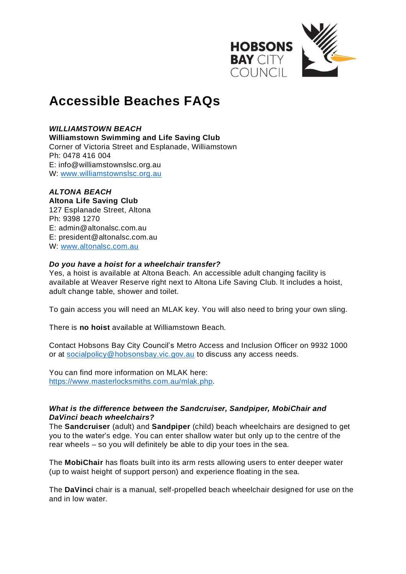

# **Accessible Beaches FAQs**

## *WILLIAMSTOWN BEACH*

**Williamstown Swimming and Life Saving Club**

Corner of Victoria Street and Esplanade, Williamstown Ph: 0478 416 004 E: [info@williamstownslsc.org.au](mailto:info@williamstownslsc.org.au) W: [www.williamstownslsc.org.au](http://www.williamstownslsc.org.au/)

# *ALTONA BEACH*

**Altona Life Saving Club** 127 Esplanade Street, Altona Ph: 9398 1270 E: [admin@altonalsc.com.au](mailto:admin@altonalsc.com.au) E: president@altonalsc.com.au W: [www.altonalsc.com.au](http://www.altonalsc.com.au/)

#### *Do you have a hoist for a wheelchair transfer?*

Yes, a hoist is available at Altona Beach. An accessible adult changing facility is available at Weaver Reserve right next to Altona Life Saving Club. It includes a hoist, adult change table, shower and toilet.

To gain access you will need an MLAK key. You will also need to bring your own sling.

There is **no hoist** available at Williamstown Beach.

Contact Hobsons Bay City Council's Metro Access and Inclusion Officer on 9932 1000 or at [socialpolicy@hobsonsbay.vic.gov.au](mailto:socialpolicy@hobsonsbay.vic.gov.au) to discuss any access needs.

You can find more information on MLAK here: [https://www.masterlocksmiths.com.au/mlak.php.](https://www.masterlocksmiths.com.au/mlak.php)

# *What is the difference between the Sandcruiser, Sandpiper, MobiChair and DaVinci beach wheelchairs?*

The **Sandcruiser** (adult) and **Sandpiper** (child) beach wheelchairs are designed to get you to the water's edge. You can enter shallow water but only up to the centre of the rear wheels – so you will definitely be able to dip your toes in the sea.

The **MobiChair** has floats built into its arm rests allowing users to enter deeper water (up to waist height of support person) and experience floating in the sea.

The **DaVinci** chair is a manual, self-propelled beach wheelchair designed for use on the and in low water.